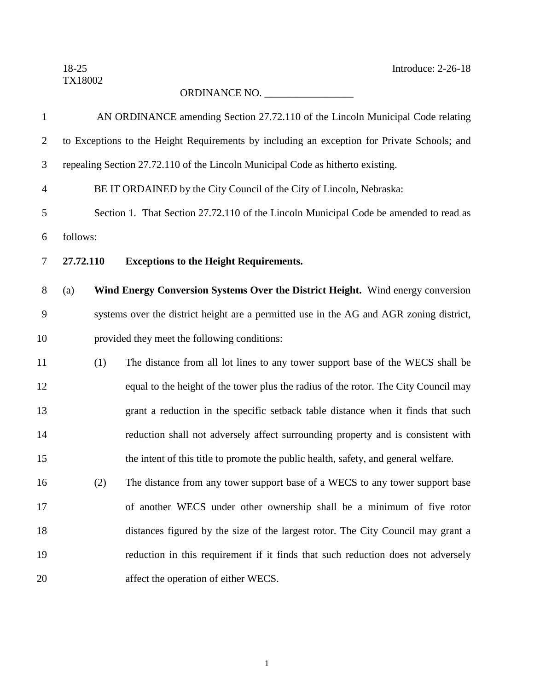18-25 Introduce: 2-26-18

## ORDINANCE NO. \_\_\_\_\_\_\_\_\_\_\_\_\_\_\_\_\_

| $\mathbf{1}$   |                                              |     | AN ORDINANCE amending Section 27.72.110 of the Lincoln Municipal Code relating              |  |  |
|----------------|----------------------------------------------|-----|---------------------------------------------------------------------------------------------|--|--|
| $\overline{2}$ |                                              |     | to Exceptions to the Height Requirements by including an exception for Private Schools; and |  |  |
| 3              |                                              |     | repealing Section 27.72.110 of the Lincoln Municipal Code as hitherto existing.             |  |  |
| $\overline{4}$ |                                              |     | BE IT ORDAINED by the City Council of the City of Lincoln, Nebraska:                        |  |  |
| 5              |                                              |     | Section 1. That Section 27.72.110 of the Lincoln Municipal Code be amended to read as       |  |  |
| 6              | follows:                                     |     |                                                                                             |  |  |
| 7              | 27.72.110                                    |     | <b>Exceptions to the Height Requirements.</b>                                               |  |  |
| 8              | (a)                                          |     | Wind Energy Conversion Systems Over the District Height. Wind energy conversion             |  |  |
| 9              |                                              |     | systems over the district height are a permitted use in the AG and AGR zoning district,     |  |  |
| 10             | provided they meet the following conditions: |     |                                                                                             |  |  |
| 11             |                                              | (1) | The distance from all lot lines to any tower support base of the WECS shall be              |  |  |
| 12             |                                              |     | equal to the height of the tower plus the radius of the rotor. The City Council may         |  |  |
| 13             |                                              |     | grant a reduction in the specific setback table distance when it finds that such            |  |  |
| 14             |                                              |     | reduction shall not adversely affect surrounding property and is consistent with            |  |  |
| 15             |                                              |     | the intent of this title to promote the public health, safety, and general welfare.         |  |  |
| 16             |                                              | (2) | The distance from any tower support base of a WECS to any tower support base                |  |  |
| 17             |                                              |     | of another WECS under other ownership shall be a minimum of five rotor                      |  |  |
| 18             |                                              |     | distances figured by the size of the largest rotor. The City Council may grant a            |  |  |
| 19             |                                              |     | reduction in this requirement if it finds that such reduction does not adversely            |  |  |
| 20             |                                              |     | affect the operation of either WECS.                                                        |  |  |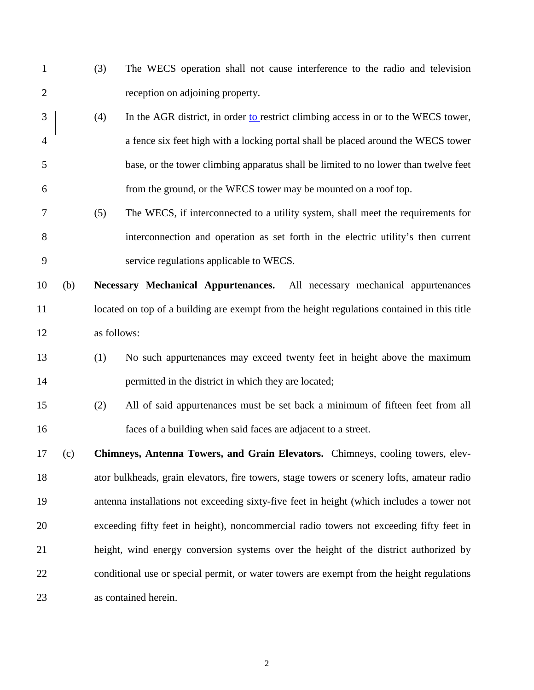- (3) The WECS operation shall not cause interference to the radio and television reception on adjoining property.
- 3 (4) In the AGR district, in order to restrict climbing access in or to the WECS tower, a fence six feet high with a locking portal shall be placed around the WECS tower base, or the tower climbing apparatus shall be limited to no lower than twelve feet from the ground, or the WECS tower may be mounted on a roof top.
- (5) The WECS, if interconnected to a utility system, shall meet the requirements for interconnection and operation as set forth in the electric utility's then current service regulations applicable to WECS.
- (b) **Necessary Mechanical Appurtenances.** All necessary mechanical appurtenances 11 located on top of a building are exempt from the height regulations contained in this title as follows:
- (1) No such appurtenances may exceed twenty feet in height above the maximum 14 permitted in the district in which they are located;
- (2) All of said appurtenances must be set back a minimum of fifteen feet from all faces of a building when said faces are adjacent to a street.
- (c) **Chimneys, Antenna Towers, and Grain Elevators.** Chimneys, cooling towers, elev- ator bulkheads, grain elevators, fire towers, stage towers or scenery lofts, amateur radio antenna installations not exceeding sixty-five feet in height (which includes a tower not exceeding fifty feet in height), noncommercial radio towers not exceeding fifty feet in height, wind energy conversion systems over the height of the district authorized by conditional use or special permit, or water towers are exempt from the height regulations as contained herein.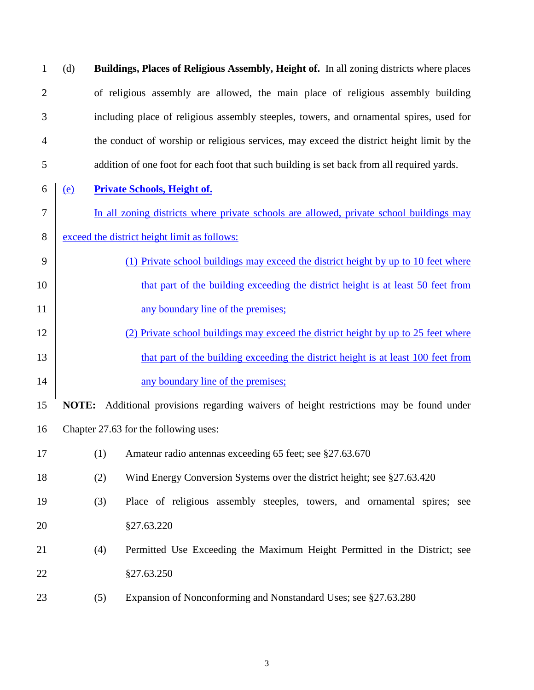(d) **Buildings, Places of Religious Assembly, Height of.** In all zoning districts where places of religious assembly are allowed, the main place of religious assembly building including place of religious assembly steeples, towers, and ornamental spires, used for the conduct of worship or religious services, may exceed the district height limit by the addition of one foot for each foot that such building is set back from all required yards.

- (e) **Private Schools, Height of.**
- In all zoning districts where private schools are allowed, private school buildings may
- exceed the district height limit as follows:
- (1) Private school buildings may exceed the district height by up to 10 feet where **that part of the building exceeding the district height is at least 50 feet from** 11 any boundary line of the premises;
- (2) Private school buildings may exceed the district height by up to 25 feet where 13 that part of the building exceeding the district height is at least 100 feet from 14 any boundary line of the premises;
- **NOTE:** Additional provisions regarding waivers of height restrictions may be found under Chapter 27.63 for the following uses:
- (1) Amateur radio antennas exceeding 65 feet; see §27.63.670
- (2) Wind Energy Conversion Systems over the district height; see §27.63.420
- (3) Place of religious assembly steeples, towers, and ornamental spires; see §27.63.220
- (4) Permitted Use Exceeding the Maximum Height Permitted in the District; see §27.63.250
- (5) Expansion of Nonconforming and Nonstandard Uses; see §27.63.280